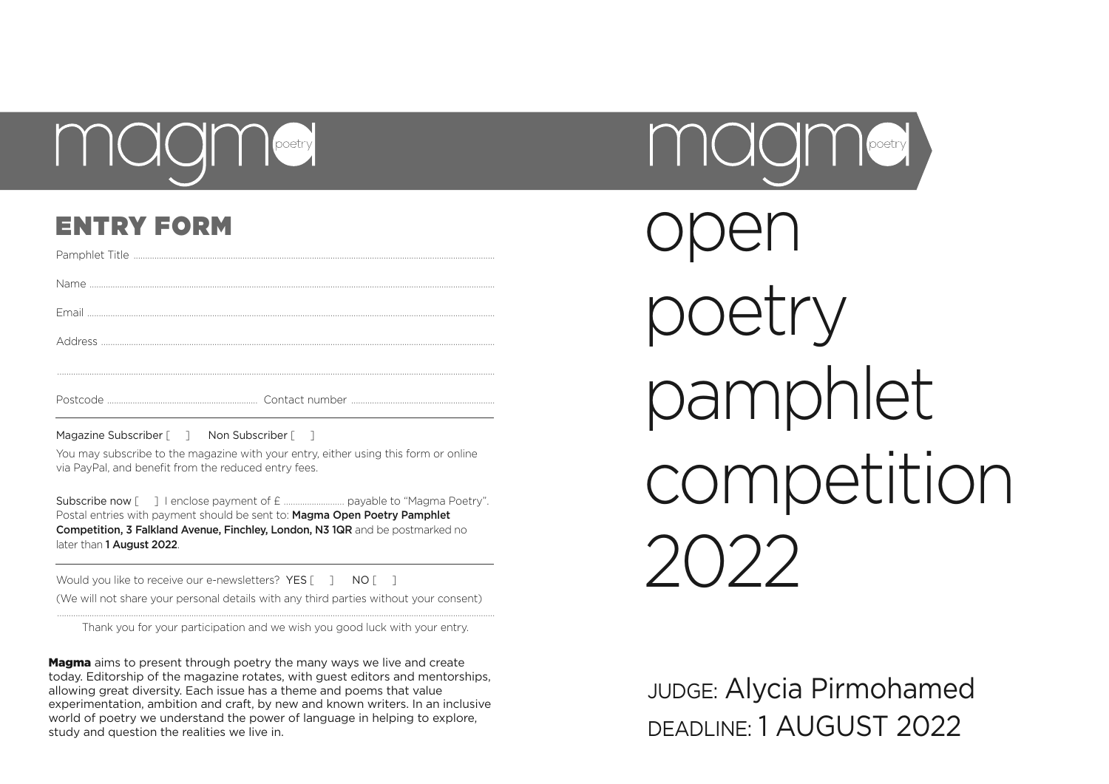

# ENTRY FORM

Magazine Subscriber [  $\Box$  Non Subscriber [  $\Box$ 

You may subscribe to the magazine with your entry, either using this form or online via PayPal, and benefit from the reduced entry fees.

Subscribe now [ ] I enclose payment of £ ………..........……. payable to "Magma Poetry". Postal entries with payment should be sent to: Magma Open Poetry Pamphlet Competition, 3 Falkland Avenue, Finchley, London, N3 1QR and be postmarked no later than 1 August 2022.

Would you like to receive our e-newsletters? YES [ ] NO [ ] (We will not share your personal details with any third parties without your consent)

............................................................................................................................................................................................. Thank you for your participation and we wish you good luck with your entry.

Magma aims to present through poetry the many ways we live and create today. Editorship of the magazine rotates, with guest editors and mentorships, allowing great diversity. Each issue has a theme and poems that value experimentation, ambition and craft, by new and known writers. In an inclusive world of poetry we understand the power of language in helping to explore, study and question the realities we live in.



open etry pamphlet competition 2022

JUDGE: Alycia Pirmohamed DEADLINE: 1 AUGUST 2022